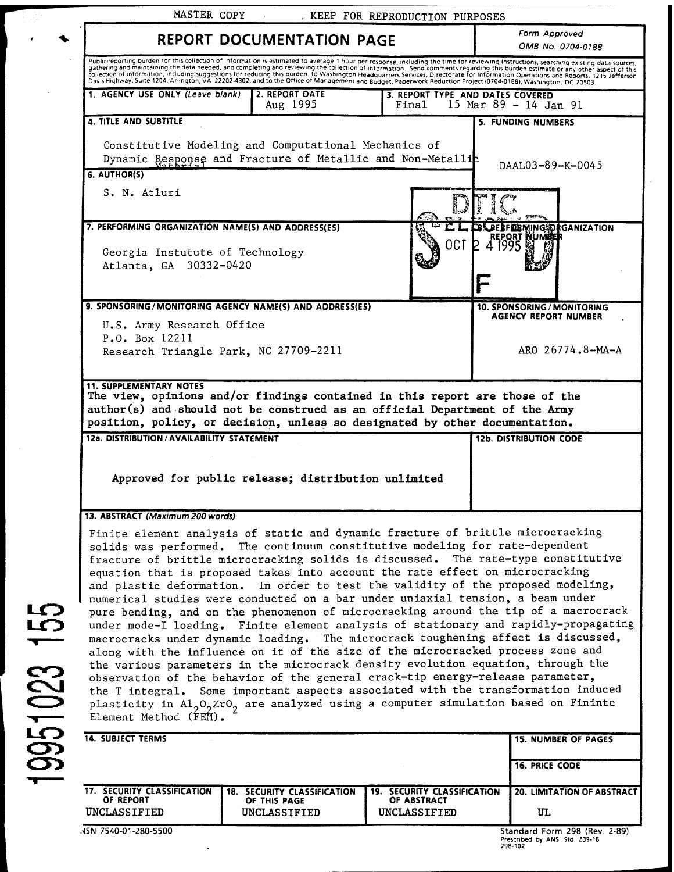|                                                                                                                 | <b>REPORT DOCUMENTATION PAGE</b>                                                                                                                                                                                                                                                                                                                                                                                                                                                                                                                                                                                                                                                                                                                                                                                                                                                                                                                                                                                                                                                                                                                                                                                       |                                           | Form Approved<br>OMB No. 0704-0188                    |
|-----------------------------------------------------------------------------------------------------------------|------------------------------------------------------------------------------------------------------------------------------------------------------------------------------------------------------------------------------------------------------------------------------------------------------------------------------------------------------------------------------------------------------------------------------------------------------------------------------------------------------------------------------------------------------------------------------------------------------------------------------------------------------------------------------------------------------------------------------------------------------------------------------------------------------------------------------------------------------------------------------------------------------------------------------------------------------------------------------------------------------------------------------------------------------------------------------------------------------------------------------------------------------------------------------------------------------------------------|-------------------------------------------|-------------------------------------------------------|
|                                                                                                                 | Publickeporting burden for this collection of information is estimated to average 1 hour per response, including the time for reviewing instructions, searching existing data sources,<br>gathering and maintaining the data needed, and completing and reviewing the collection of information. Send comments regarding this burden estimate or any other aspect of this<br>collection of information, including suggestions for reducing this burden. to Washington Headquarters Services, Directorate for information Operations and Reports, 1215 Jefferson<br>Davis Highway, Suite 1204, Arlington, VA 22                                                                                                                                                                                                                                                                                                                                                                                                                                                                                                                                                                                                         |                                           |                                                       |
| 1. AGENCY USE ONLY (Leave blank)                                                                                | 2. REPORT DATE<br>Aug 1995                                                                                                                                                                                                                                                                                                                                                                                                                                                                                                                                                                                                                                                                                                                                                                                                                                                                                                                                                                                                                                                                                                                                                                                             | 3. REPORT TYPE AND DATES COVERED<br>Final | 15 Mar 89 - 14 Jan 91                                 |
| <b>4. TITLE AND SUBTITLE</b>                                                                                    |                                                                                                                                                                                                                                                                                                                                                                                                                                                                                                                                                                                                                                                                                                                                                                                                                                                                                                                                                                                                                                                                                                                                                                                                                        |                                           | <b>5. FUNDING NUMBERS</b>                             |
| 6. AUTHOR(S)                                                                                                    | Constitutive Modeling and Computational Mechanics of<br>Dynamic Response and Fracture of Metallic and Non-Metallic                                                                                                                                                                                                                                                                                                                                                                                                                                                                                                                                                                                                                                                                                                                                                                                                                                                                                                                                                                                                                                                                                                     |                                           | DAAL03-89-K-0045                                      |
| S. N. Atluri                                                                                                    |                                                                                                                                                                                                                                                                                                                                                                                                                                                                                                                                                                                                                                                                                                                                                                                                                                                                                                                                                                                                                                                                                                                                                                                                                        |                                           |                                                       |
| 7. PERFORMING ORGANIZATION NAME(S) AND ADDRESS(ES)<br>Georgia Instutute of Technology<br>Atlanta, GA 30332-0420 |                                                                                                                                                                                                                                                                                                                                                                                                                                                                                                                                                                                                                                                                                                                                                                                                                                                                                                                                                                                                                                                                                                                                                                                                                        | OCT                                       | <b>IING5DRGANIZATION</b><br><b>KEPORT</b>             |
|                                                                                                                 | 9. SPONSORING/MONITORING AGENCY NAME(S) AND ADDRESS(ES)                                                                                                                                                                                                                                                                                                                                                                                                                                                                                                                                                                                                                                                                                                                                                                                                                                                                                                                                                                                                                                                                                                                                                                |                                           | <b>10. SPONSORING / MONITORING</b>                    |
| U.S. Army Research Office<br>P.O. Box 12211                                                                     | Research Triangle Park, NC 27709-2211                                                                                                                                                                                                                                                                                                                                                                                                                                                                                                                                                                                                                                                                                                                                                                                                                                                                                                                                                                                                                                                                                                                                                                                  |                                           | <b>AGENCY REPORT NUMBER</b><br>ARO $26774.8 - MA - A$ |
|                                                                                                                 | The view, opinions and/or findings contained in this report are those of the<br>author(s) and should not be construed as an official Department of the Army<br>position, policy, or decision, unless so designated by other documentation.                                                                                                                                                                                                                                                                                                                                                                                                                                                                                                                                                                                                                                                                                                                                                                                                                                                                                                                                                                             |                                           | <b>12b. DISTRIBUTION CODE</b>                         |
| <b>11. SUPPLEMENTARY NOTES</b><br>12a. DISTRIBUTION / AVAILABILITY STATEMENT                                    | Approved for public release; distribution unlimited                                                                                                                                                                                                                                                                                                                                                                                                                                                                                                                                                                                                                                                                                                                                                                                                                                                                                                                                                                                                                                                                                                                                                                    |                                           |                                                       |
|                                                                                                                 | Finite element analysis of static and dynamic fracture of brittle microcracking<br>solids was performed. The continuum constitutive modeling for rate-dependent<br>fracture of brittle microcracking solids is discussed. The rate-type constitutive<br>equation that is proposed takes into account the rate effect on microcracking<br>and plastic deformation. In order to test the validity of the proposed modeling,<br>numerical studies were conducted on a bar under uniaxial tension, a beam under<br>pure bending, and on the phenomenon of microcracking around the tip of a macrocrack<br>under mode-I loading. Finite element analysis of stationary and rapidly-propagating<br>macrocracks under dynamic loading. The microcrack toughening effect is discussed,<br>along with the influence on it of the size of the microcracked process zone and<br>the various parameters in the microcrack density evolution equation, through the<br>observation of the behavior of the general crack-tip energy-release parameter,<br>the T integral. Some important aspects associated with the transformation induced<br>plasticity in $A1_2O_2ZrO_2$ are analyzed using a computer simulation based on Fininte |                                           |                                                       |
| 13. ABSTRACT (Maximum 200 words)<br>Element Method (FEM).<br><b>14. SUBJECT TERMS</b>                           |                                                                                                                                                                                                                                                                                                                                                                                                                                                                                                                                                                                                                                                                                                                                                                                                                                                                                                                                                                                                                                                                                                                                                                                                                        |                                           | <b>15. NUMBER OF PAGES</b>                            |
|                                                                                                                 |                                                                                                                                                                                                                                                                                                                                                                                                                                                                                                                                                                                                                                                                                                                                                                                                                                                                                                                                                                                                                                                                                                                                                                                                                        |                                           | <b>16. PRICE CODE</b>                                 |

**CVJ** ^MM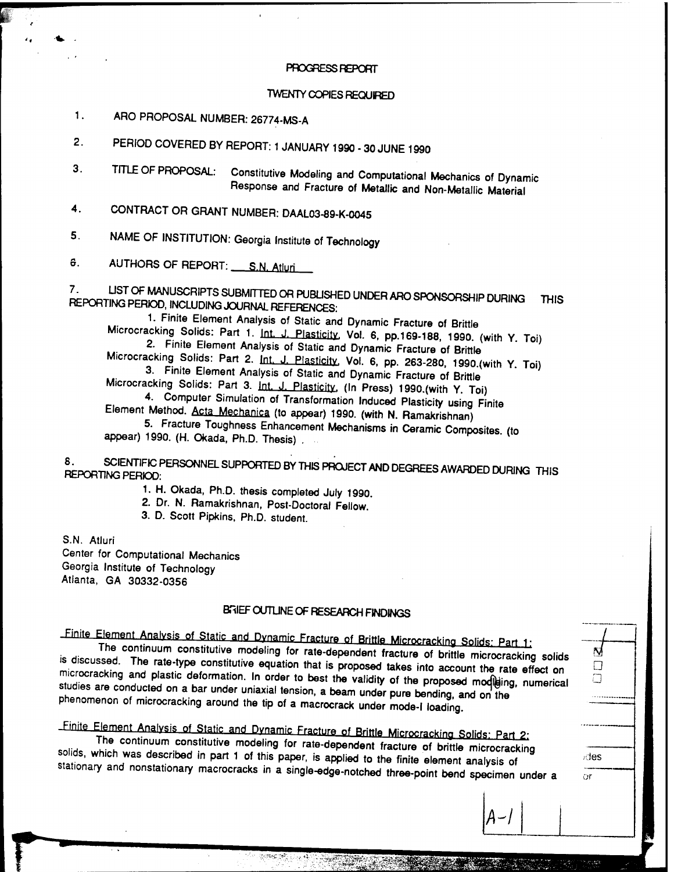### PROGRESS REPORT

### TWENTY COPIES REQUIRED

<sup>1</sup> • ARO PROPOSAL NUMBER: 26774-MS-A

2. PERIOD COVERED BY REPORT: <sup>1</sup> JANUARY 1990 - 30 JUNE 1990

- 3. TITLE OF PROPOSAL: Constitutive Modeling and Computational Mechanics of Dynamic Response and Fracture of Metallic and Non-Metallic Material
- 4. CONTRACT OR GRANT NUMBER: DAAL03-89-K-0045

5. NAME OF INSTITUTION: Georgia Institute of Technology

6. AUTHORS OF REPORT: S.N. Atluri

 $7<sub>1</sub>$ LIST OF MANUSCRIPTS SUBMITTED OR PUBLISHED UNDER ARO SPONSORSHIP DURING **THIS** REPORTING PERIOD, INCLUDING JOURNAL REFERENCES:

1. Finite Element Analysis of Static and Dynamic Fracture of Brittle Microcracking Solids: Part 1. Int. J. Plasticity, Vol. 6, pp.169-188, 1990. (with Y. Toi) 2. Finite Element Analysis of Static and Dynamic Fracture of Brittle

Microcracking Solids: Part 2. Int. J. Plasticity, Vol. 6, pp. 263-280, 1990.(with Y. Toi) 3. Finite Element Analysis of Static and Dynamic Fracture of Brittle

Microcracking Solids: Part 3. Int. J. Plasticity, (In Press) 1990.(with Y. Toi) 4. Computer Simulation of Transformation Induced Plasticity using Finite

Element Method. Acta Mechanica (to appear) 1990. (with N. Ramakrishnan)

5. Fracture Toughness Enhancement Mechanisms in Ceramic Composites, (to Element Method. <u>Acta Mechanica</u> (to appear) 1990. (with N. Ramakrishnan)<br>5. Fracture Toughness Enhancement Mechanisms in Ceramic Composites. (<br>appear) 1990. (H. Okada, Ph.D. Thesis)

## 8. SCIENTIFIC PERSONNEL SUPPORTED BY THIS PROJECT AN<br>REPORTING PERIOD: D AGREES AWARDED DURING THIS

1. H. Okada, Ph.D. thesis completed July 1990.

2. Dr. N. Ramakrishnan, Post-Doctoral Fellow.

3. D. Scott Pipkins, Ph.D. student.

S.N. Atluri Center for Computational Mechanics Georgia Institute of Technology Atianta, GA 30332-0356

## BRIEF OUTLINE OF RESEARCH FINDINGS

**=? a a**

des. ör

-Finite Element Analysis of Static and Dynamic Fracture of Brittle Microcracking Solids: Part 1:

is discus l ne BRIEF OUTLINE OF RESEARCH FINDINGS<br>
BRIEF OUTLINE OF RESEARCH FINDINGS<br>
Dent. Analysis of Static and Dynamic Fracture of Brittle Microcracking Solids: Part 1:<br>
continuum constitutive modeling for rate-dependent fracture of  $\ddot{\text{d}}$  odiscussed. The rate-type constitutive equation that is proposed takes into account the rate effect on microcracking and plastic deformation. In order to best the validity of the proposed modileing, numerical studies are conducted on a bar under uniaxial tension, a beam under pure bending, and on the phenomenon of microcracking around the tip of a macrocrack under mode-I loading.

# Finite Element Analysis of Static and Dynamic Fracture of Brittle Microcracking Solids: Part 2:

solids, which was described in part 1 of this paper, is applied to the finite element analysis of <u>llysis of</u><br>um con<br>escrib<mark>e</mark>d Static and Dynamic Fracture of Brittle Microcracking Solids: Part 2:<br>
stitutive modeling for rate-dependent fracture of brittle microcracking<br>
In part 1 of this paper, is applied to the finite element applicate of stationary and nonstationary macrocracks in a single-edge-notched three-point bend specimen under a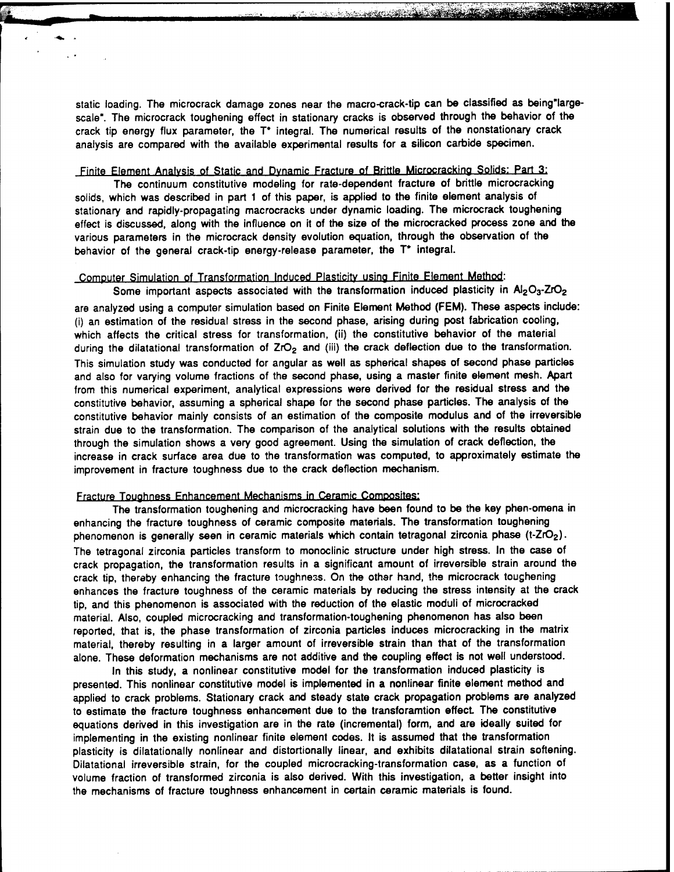static loading. The microcrack damage zones near the macro-crack-tip can be classified as being'largescale". The microcrack toughening effect in stationary cracks is observed through the behavior of the crack tip energy flux parameter, the T\* integral. The numerical results of the nonstationary crack analysis are compared with the available experimental results for a silicon carbide specimen.

**— ••** *^^*■■*^A^^mÄ^mmmM*

### Finite Element Analysis of Static and Dynamic Fracture of Brittle Microcrackina Solids: Part 3:

The continuum constitutive modeling for rate-dependent fracture of brittle microcracking solids, which was described in part <sup>1</sup> of this paper, is applied to the finite element analysis of stationary and rapidly-propagating macrocracks under dynamic loading. The microcrack toughening effect is discussed, along with the influence on it of the size of the microcracked process zone and the various parameters in the microcrack density evolution equation, through the observation of the behavior of the general crack-tip energy-release parameter, the T\* integral.

## Computer Simulation of Transformation Induced Plasticity using Finite Element Method:

Some important aspects associated with the transformation induced plasticity in Al<sub>2</sub>O<sub>3</sub>-ZrO<sub>2</sub> are analyzed using a computer simulation based on Finite Element Method (FEM). These aspects include: (i) an estimation of the residual stress in the second phase, arising during post fabrication cooling, which affects the critical stress for transformation, (ii) the constitutive behavior of the material during the dilatational transformation of ZrO<sub>2</sub> and (iii) the crack deflection due to the transformation. This simulation study was conducted for angular as well as spherical shapes of second phase particles and also for varying volume fractions of the second phase, using a master finite element mesh. Apart from this numerical experiment, analytical expressions were derived for the residual stress and the constitutive behavior, assuming a spherical shape for the second phase particles. The analysis of the constitutive behavior mainly consists of an estimation of the composite modulus and of the irreversible strain due to the transformation. The comparison of the analytical solutions with the results obtained through the simulation shows a very good agreement. Using the simulation of crack deflection, the increase in crack surface area due to the transformation was computed, to approximately estimate the improvement in fracture toughness due to the crack deflection mechanism.

#### Fracture Toughness Enhancement Mechanisms in Ceramic Composites:

The transformation toughening and microcracking have been found to be the key phen-omena in enhancing the fracture toughness of ceramic composite materials. The transformation toughening phenomenon is generally seen in ceramic materials which contain tetragonal zirconia phase (t-ZrO<sub>2</sub>). The tetragonal zirconia particles transform to monoclinic structure under high stress. In the case of crack propagation, the transformation results in a significant amount of irreversible strain around the crack tip, thereby enhancing the fracture toughness. On the other hand, the microcrack toughening enhances the fracture toughness of the ceramic materials by reducing the stress intensity at the crack tip, and this phenomenon is associated with the reduction of the elastic moduli of microcracked material. Also, coupled microcracking and transformation-toughening phenomenon has also been reported, that is, the phase transformation of zirconia particles induces microcracking in the matrix material, thereby resulting in a larger amount of irreversible strain than that of the transformation alone. These deformation mechanisms are not additive and the coupling effect is not well understood.

In this study, a nonlinear constitutive model for the transformation induced plasticity is presented. This nonlinear constitutive model is implemented in a nonlinear finite element method and applied to crack problems. Stationary crack and steady state crack propagation problems are analyzed to estimate the fracture toughness enhancement due to the transforamtion effect. The constitutive equations derived in this investigation are in the rate (incremental) form, and are ideally suited for implementing in the existing nonlinear finite element codes. It is assumed that the transformation plasticity is dilatationally nonlinear and distortionally linear, and exhibits dilatational strain softening. Dilatational irreversible strain, for the coupled microcracking-transformation case, as a function of volume fraction of transformed zirconia is also derived. With this investigation, a better insight into the mechanisms of fracture toughness enhancement in certain ceramic materials is found.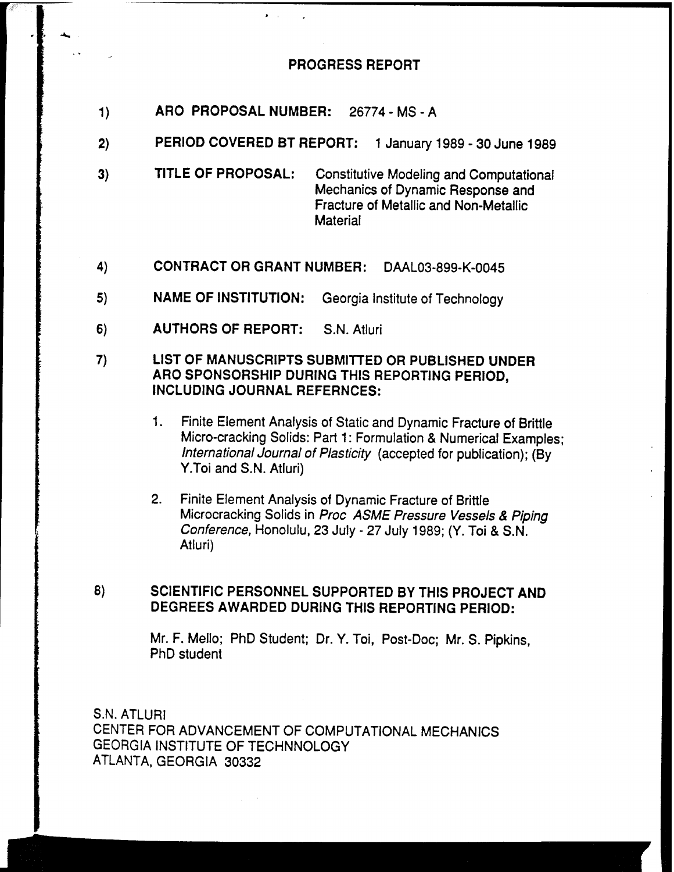## **PROGRESS REPORT**

- **1) ARO PROPOSAL NUMBER:** 26774-MS-A
- **2) PERIOD COVERED BT REPORT:** <sup>1</sup> January 1989 30 June **<sup>1</sup>**989
- **3) TITLE OF PROPOSAL:** Constitutive Modeling and Computational Mechanics of Dynamic Response and Fracture of Metallic and Non-Metallic **Material**
- **4) CONTRACT OR GRANT NUMBER:** DAAL03-899-K-0045
- **5) NAME OF INSTITUTION:** Georgia Institute of Technology
- **6) AUTHORS OF REPORT:** S.N. Atluri

## **7) LIST OF MANUSCRIPTS SUBMITTED OR PUBLISHED UNDER ARO SPONSORSHIP DURING THIS REPORTING PERIOD, INCLUDING JOURNAL REFERNCES:**

- 1. Finite Element Analysis of Static and Dynamic Fracture of Brittle Micro-cracking Solids: Part 1: Formulation & Numerical Examples; *International journal of Plasticity* (accepted for publication); (By Y.Toi and S.N. Atluri)
- 2. Finite Element Analysis of Dynamic Fracture of Brittle Microcracking Solids in *Proc ASME Pressure Vessels & Piping Conference,* Honolulu, 23 July - 27 July 1989; (Y. Toi & S.N. Atluri)

## **8) SCIENTIFIC PERSONNEL SUPPORTED BY THIS PROJECT AND DEGREES AWARDED DURING THIS REPORTING PERIOD:**

Mr. F. Mello; PhD Student; Dr. Y. Toi, Post-Doc; Mr. S. Pipkins, PhD student

S.N. ATLURI CENTER FOR ADVANCEMENT OF COMPUTATIONAL MECHANICS GEORGIA INSTITUTE OF TECHNNOLOGY ATLANTA, GEORGIA 30332